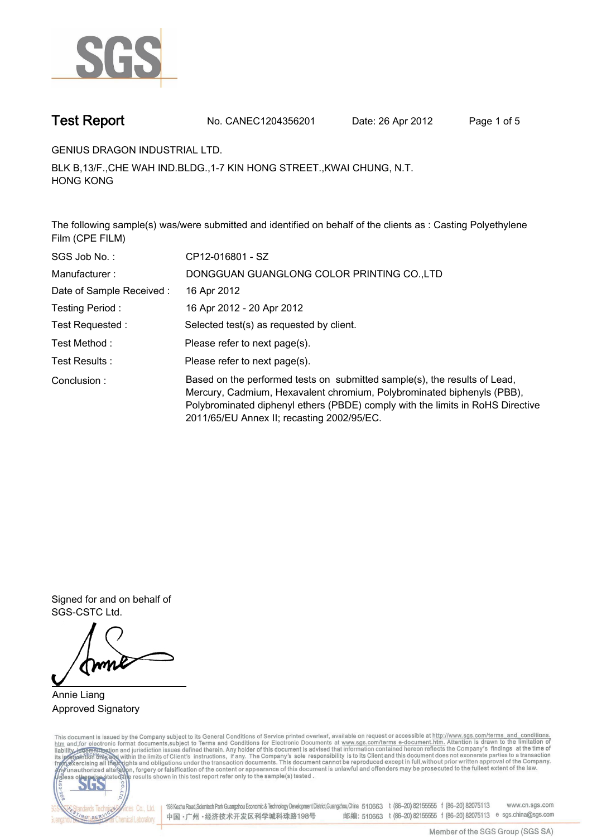

**Test Report. No. CANEC1204356201 Date: 26 Apr 2012. Page 1 of 5.**

**GENIUS DRAGON INDUSTRIAL LTD..**

**BLK B,13/F.,CHE WAH IND.BLDG.,1-7 KIN HONG STREET.,KWAI CHUNG, N.T. HONG KONG.**

**The following sample(s) was/were submitted and identified on behalf of the clients as : Casting Polyethylene Film (CPE FILM).**

| SGS Job No.:             | CP12-016801 - SZ                                                                                                                                                                                                                                                                    |  |  |  |  |
|--------------------------|-------------------------------------------------------------------------------------------------------------------------------------------------------------------------------------------------------------------------------------------------------------------------------------|--|--|--|--|
| Manufacturer:            | DONGGUAN GUANGLONG COLOR PRINTING CO.,LTD                                                                                                                                                                                                                                           |  |  |  |  |
| Date of Sample Received: | 16 Apr 2012                                                                                                                                                                                                                                                                         |  |  |  |  |
| Testing Period:          | 16 Apr 2012 - 20 Apr 2012                                                                                                                                                                                                                                                           |  |  |  |  |
| Test Requested :         | Selected test(s) as requested by client.                                                                                                                                                                                                                                            |  |  |  |  |
| Test Method :            | Please refer to next page(s).                                                                                                                                                                                                                                                       |  |  |  |  |
| Test Results :           | Please refer to next page(s).                                                                                                                                                                                                                                                       |  |  |  |  |
| Conclusion:              | Based on the performed tests on submitted sample(s), the results of Lead,<br>Mercury, Cadmium, Hexavalent chromium, Polybrominated biphenyls (PBB),<br>Polybrominated diphenyl ethers (PBDE) comply with the limits in RoHS Directive<br>2011/65/EU Annex II; recasting 2002/95/EC. |  |  |  |  |

**Signed for and on behalf of SGS-CSTC Ltd..**

**Annie Liang. Approved Signatory.**

This document is issued by the Company subject to its General Conditions of Service printed overleaf, available on request or accessible at http://www.sgs.com/terms\_and\_conditions.<br>htm\_and, for electronic format documents,



198 Kezhu Road,Scientech Park Guangzhou Economic & Technology Development District,Guangzhou,China 510663 t (86-20) 82155555 f (86-20) 82075113 www.cn.sgs.com 邮编: 510663 t (86-20) 82155555 f (86-20) 82075113 e sgs.china@sgs.com 中国·广州·经济技术开发区科学城科珠路198号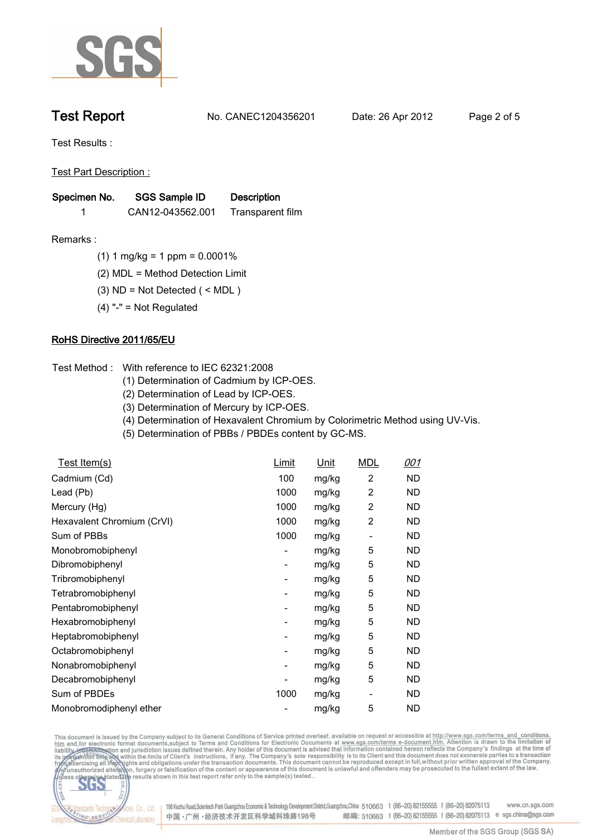

**Test Report. No. CANEC1204356201 Date: 26 Apr 2012. Page 2 of 5.**

**Test Results :.**

**Test Part Description :.**

| Specimen No. | SGS Sample ID    | <b>Description</b> |  |
|--------------|------------------|--------------------|--|
|              | CAN12-043562.001 | Transparent film   |  |

- **Remarks :.(1) 1 mg/kg = 1 ppm = 0.0001%.**
	- **(2) MDL = Method Detection Limit.**
	- **(3) ND = Not Detected ( < MDL ).**
	- **(4) "-" = Not Regulated.**

## **RoHS Directive 2011/65/EU.**

- **Test Method :. With reference to IEC 62321:2008**
	- **(1) Determination of Cadmium by ICP-OES.**
	- **(2) Determination of Lead by ICP-OES.**
	- **(3) Determination of Mercury by ICP-OES.**
	- **(4) Determination of Hexavalent Chromium by Colorimetric Method using UV-Vis.**
	- **(5) Determination of PBBs / PBDEs content by GC-MS..**

| Test Item(s)               | Limit                    | Unit  | <b>MDL</b>              | 001       |
|----------------------------|--------------------------|-------|-------------------------|-----------|
| Cadmium (Cd)               | 100                      | mg/kg | 2                       | ND        |
| Lead (Pb)                  | 1000                     | mg/kg | 2                       | ND.       |
| Mercury (Hg)               | 1000                     | mg/kg | $\overline{c}$          | ND.       |
| Hexavalent Chromium (CrVI) | 1000                     | mg/kg | $\overline{\mathbf{c}}$ | ND        |
| Sum of PBBs                | 1000                     | mg/kg |                         | ND        |
| Monobromobiphenyl          | -                        | mg/kg | 5                       | ND        |
| Dibromobiphenyl            | -                        | mg/kg | 5                       | ND        |
| Tribromobiphenyl           | $\overline{\phantom{0}}$ | mg/kg | 5                       | ND        |
| Tetrabromobiphenyl         | -                        | mg/kg | 5                       | ND        |
| Pentabromobiphenyl         | -                        | mg/kg | 5                       | ND        |
| Hexabromobiphenyl          | -                        | mg/kg | 5                       | ND        |
| Heptabromobiphenyl         | -                        | mg/kg | 5                       | ND        |
| Octabromobiphenyl          | -                        | mg/kg | 5                       | ND        |
| Nonabromobiphenyl          | ۰                        | mg/kg | 5                       | <b>ND</b> |
| Decabromobiphenyl          |                          | mg/kg | 5                       | ND.       |
| Sum of PBDEs               | 1000                     | mg/kg | -                       | ND.       |
| Monobromodiphenyl ether    |                          | mg/kg | 5                       | <b>ND</b> |

This document is issued by the Company subject to its General Conditions of Service printed overleaf, available on request or accessible at http://www.sgs.com/terms\_and\_conditions.<br>htm\_and,for electronic format documents,s



198 Kezhu Road,Scientech Park Guangzhou Economic & Technology Development District,Guangzhou,China 510663 t (86-20) 82155555 f (86-20) 82075113 www.cn.sgs.com 邮编: 510663 t (86-20) 82155555 f (86-20) 82075113 e sgs.china@sgs.com 中国·广州·经济技术开发区科学城科珠路198号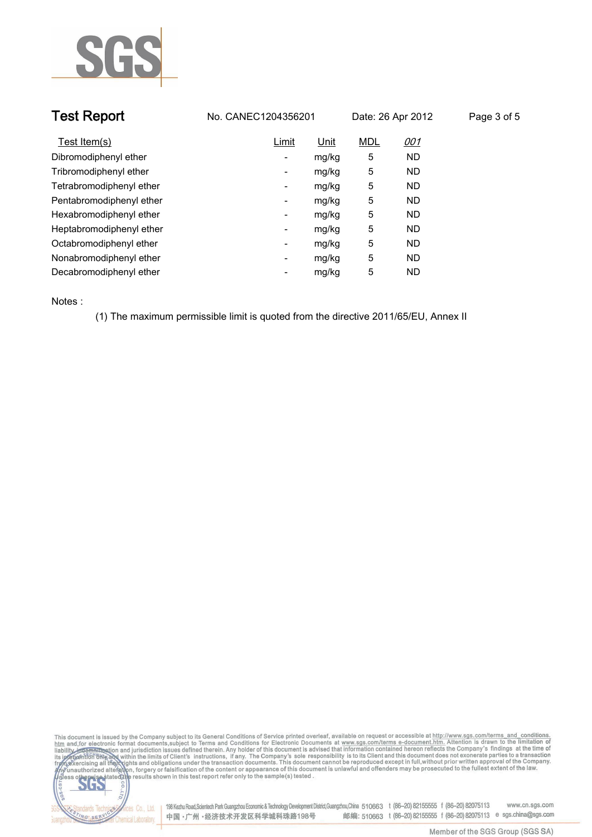

| <b>Test Report</b>       | No. CANEC1204356201               | Date: 26 Apr 2012        | Page 3 of 5 |
|--------------------------|-----------------------------------|--------------------------|-------------|
| Test Item(s)             | Limit<br>Unit                     | <b>MDL</b><br><u>001</u> |             |
| Dibromodiphenyl ether    | mg/kg<br>$\overline{\phantom{a}}$ | 5<br>ND.                 |             |
| Tribromodiphenyl ether   | mg/kg<br>۰                        | 5<br>ND.                 |             |
| Tetrabromodiphenyl ether | mg/kg<br>-                        | 5<br>ND.                 |             |
| Pentabromodiphenyl ether | mg/kg<br>-                        | 5<br>ND.                 |             |
| Hexabromodiphenyl ether  | mg/kg<br>$\overline{\phantom{a}}$ | 5<br>ND.                 |             |
| Heptabromodiphenyl ether | mg/kg<br>$\overline{\phantom{a}}$ | 5<br>ND.                 |             |
| Octabromodiphenyl ether  | mg/kg<br>$\overline{\phantom{a}}$ | 5<br>ND.                 |             |
| Nonabromodiphenyl ether  | mg/kg<br>۰                        | 5<br>ND.                 |             |
| Decabromodiphenyl ether  | mg/kg<br>-                        | 5<br>ND.                 |             |

**Notes :.**

lards Te

ING SERY

Chemical Laboratory.

**(1) The maximum permissible limit is quoted from the directive 2011/65/EU, Annex II.**

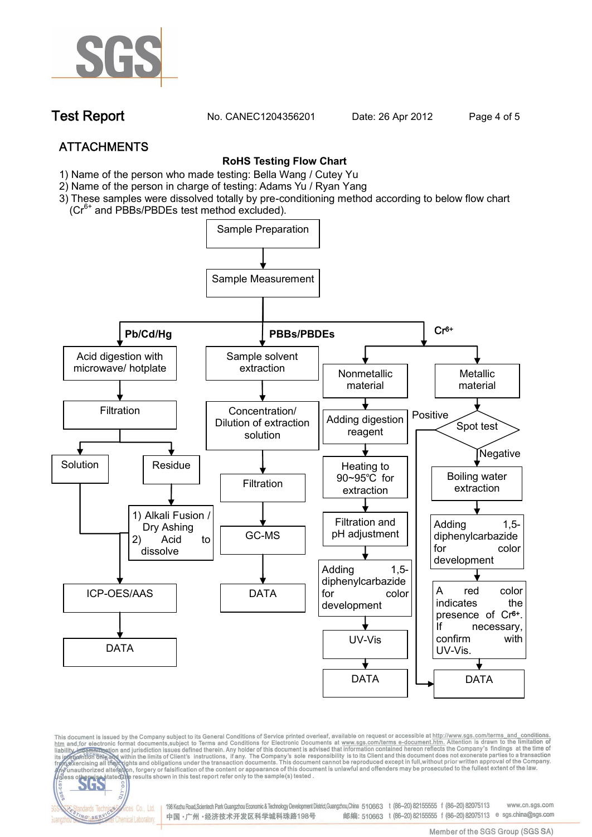

**Test Report. No. CANEC1204356201 Date: 26 Apr 2012. Page 4 of 5.**

# **ATTACHMENTS**

fices Co., Ltd.

Chemical Laboratory

NG SER

### **RoHS Testing Flow Chart**

- **1)** Name of the person who made testing: Bella Wang / **Cutey Yu**
- 2) Name of the person in charge of testing: Adams Yu / **Ryan Yang**
- 3) These samples were dissolved totally by pre-conditioning method according to below flow chart (Cr<sup>6+</sup> and PBBs/PBDEs test method excluded).



This document is issued by the Company subject to its General Conditions of Service printed overleaf, available on request or accessible at http://www.sgs.com/terms\_and\_conditions.<br>htm\_and,for electronic format documents,s

198 Kezhu Road,Scientech Park Guangzhou Economic & Technology Development District,Guangzhou,China 510663 t (86-20) 82155555 f (86-20) 82075113 www.cn.sas.com 邮编: 510663 t (86-20) 82155555 f (86-20) 82075113 e sgs.china@sgs.com 中国·广州·经济技术开发区科学城科珠路198号